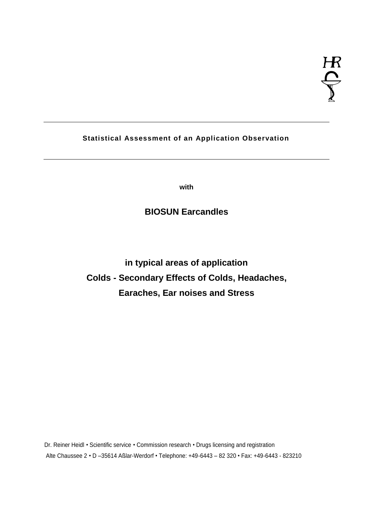# **Statistical Assessment of an Application Observation**

**with**

# **BIOSUN Earcandles**

**in typical areas of application Colds - Secondary Effects of Colds, Headaches, Earaches, Ear noises and Stress** 

Dr. Reiner Heidl • Scientific service • Commission research • Drugs licensing and registration Alte Chaussee 2 • D – 35614 Aß lar-Werdorf • Telephone: +49-6443 – 82 320 • Fax: +49-6443 - 823210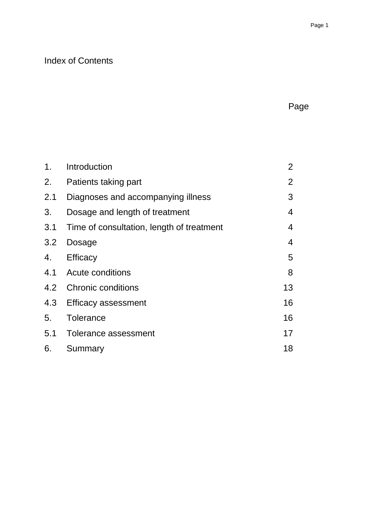# Index of Contents

| ſ<br>н<br>⊸ |
|-------------|
|-------------|

| 1.  | Introduction                              | $\overline{2}$ |
|-----|-------------------------------------------|----------------|
| 2.  | Patients taking part                      | $\overline{2}$ |
| 2.1 | Diagnoses and accompanying illness        | 3              |
| 3.  | Dosage and length of treatment            | $\overline{4}$ |
| 3.1 | Time of consultation, length of treatment | $\overline{4}$ |
| 3.2 | <b>Dosage</b>                             | $\overline{4}$ |
| 4.  | Efficacy                                  | 5              |
|     | 4.1 Acute conditions                      | 8              |
|     | 4.2 Chronic conditions                    | 13             |
| 4.3 | <b>Efficacy assessment</b>                | 16             |
| 5.  | Tolerance                                 | 16             |
|     | 5.1 Tolerance assessment                  | 17             |
| 6.  | Summary                                   | 18             |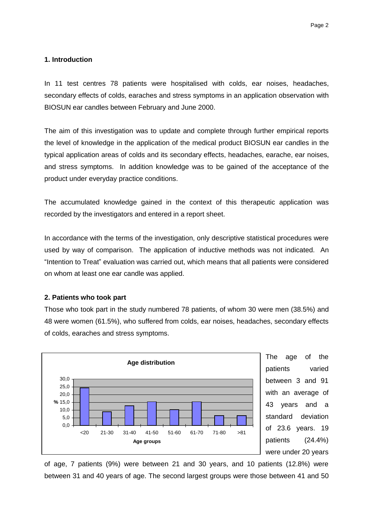### **1. Introduction**

In 11 test centres 78 patients were hospitalised with colds, ear noises, headaches, secondary effects of colds, earaches and stress symptoms in an application observation with BIOSUN ear candles between February and June 2000.

The aim of this investigation was to update and complete through further empirical reports the level of knowledge in the application of the medical product BIOSUN ear candles in the typical application areas of colds and its secondary effects, headaches, earache, ear noises, and stress symptoms. In addition knowledge was to be gained of the acceptance of the product under everyday practice conditions.

The accumulated knowledge gained in the context of this therapeutic application was recorded by the investigators and entered in a report sheet.

In accordance with the terms of the investigation, only descriptive statistical procedures were used by way of comparison. The application of inductive methods was not indicated. An "Intention to Treat" evaluation was carried out, which means that all patients were considered on whom at least one ear candle was applied.

### **2. Patients who took part**

Those who took part in the study numbered 78 patients, of whom 30 were men (38.5%) and 48 were women (61.5%), who suffered from colds, ear noises, headaches, secondary effects of colds, earaches and stress symptoms.



The age of the patients varied between 3 and 91 with an average of 43 years and a standard deviation of 23.6 years. 19 patients (24.4%) were under 20 years

of age, 7 patients (9%) were between 21 and 30 years, and 10 patients (12.8%) were between 31 and 40 years of age. The second largest groups were those between 41 and 50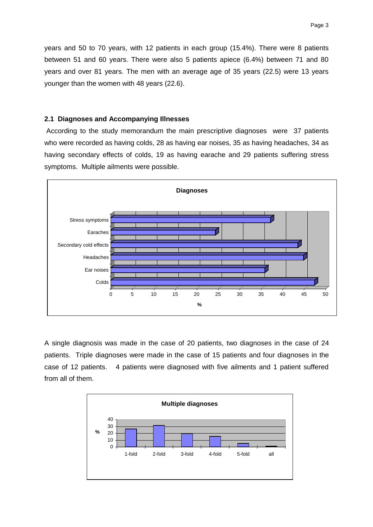years and 50 to 70 years, with 12 patients in each group (15.4%). There were 8 patients between 51 and 60 years. There were also 5 patients apiece (6.4%) between 71 and 80 years and over 81 years. The men with an average age of 35 years (22.5) were 13 years younger than the women with 48 years (22.6).

#### **2.1 Diagnoses and Accompanying Illnesses**

 According to the study memorandum the main prescriptive diagnoses were 37 patients who were recorded as having colds, 28 as having ear noises, 35 as having headaches, 34 as having secondary effects of colds, 19 as having earache and 29 patients suffering stress symptoms. Multiple ailments were possible.



A single diagnosis was made in the case of 20 patients, two diagnoses in the case of 24 patients. Triple diagnoses were made in the case of 15 patients and four diagnoses in the case of 12 patients. 4 patients were diagnosed with five ailments and 1 patient suffered from all of them.

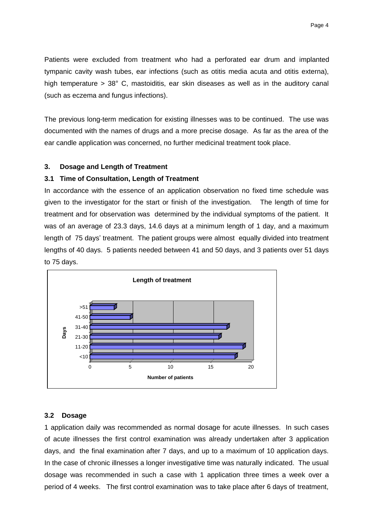Patients were excluded from treatment who had a perforated ear drum and implanted tympanic cavity wash tubes, ear infections (such as otitis media acuta and otitis externa), high temperature > 38° C, mastoiditis, ear skin diseases as well as in the auditory canal (such as eczema and fungus infections).

The previous long-term medication for existing illnesses was to be continued. The use was documented with the names of drugs and a more precise dosage. As far as the area of the ear candle application was concerned, no further medicinal treatment took place.

#### **3. Dosage and Length of Treatment**

#### **3.1 Time of Consultation, Length of Treatment**

In accordance with the essence of an application observation no fixed time schedule was given to the investigator for the start or finish of the investigation. The length of time for treatment and for observation was determined by the individual symptoms of the patient. It was of an average of 23.3 days, 14.6 days at a minimum length of 1 day, and a maximum length of 75 days' treatment. The patient groups were almost equally divided into treatment lengths of 40 days. 5 patients needed between 41 and 50 days, and 3 patients over 51 days to 75 days.



#### **3.2 Dosage**

1 application daily was recommended as normal dosage for acute illnesses. In such cases of acute illnesses the first control examination was already undertaken after 3 application days, and the final examination after 7 days, and up to a maximum of 10 application days. In the case of chronic illnesses a longer investigative time was naturally indicated. The usual dosage was recommended in such a case with 1 application three times a week over a period of 4 weeks. The first control examination was to take place after 6 days of treatment,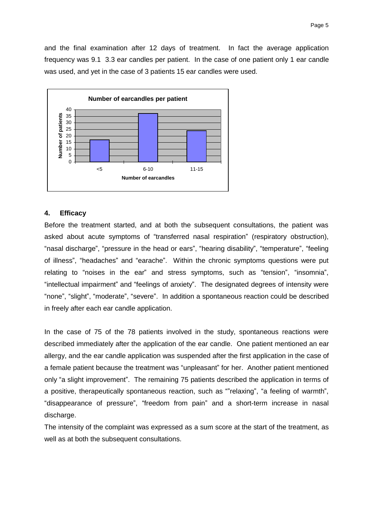and the final examination after 12 days of treatment. In fact the average application frequency was 9.1 3.3 ear candles per patient. In the case of one patient only 1 ear candle was used, and yet in the case of 3 patients 15 ear candles were used.



#### **4. Efficacy**

Before the treatment started, and at both the subsequent consultations, the patient was asked about acute symptoms of "transferred nasal respiration" (respiratory obstruction), "nasal discharge", "pressure in the head or ears", "hearing disability", "temperature", "feeling of illness", "headaches" and "earache". Within the chronic symptoms questions were put relating to "noises in the ear" and stress symptoms, such as "tension", "insomnia", "intellectual impairment"and "feelings of anxiety". The designated degrees of intensity were "none", "slight", "moderate", "severe". In addition a spontaneous reaction could be described in freely after each ear candle application.

In the case of 75 of the 78 patients involved in the study, spontaneous reactions were described immediately after the application of the ear candle. One patient mentioned an ear allergy, and the ear candle application was suspended after the first application in the case of a female patient because the treatment was "unpleasant" for her. Another patient mentioned only "a slight improvement". The remaining 75 patients described the application in terms of a positive, therapeutically spontaneous reaction, such as ""relaxing", "a feeling of warmth", "disappearance of pressure", "freedom from pain" and a short-term increase in nasal discharge.

The intensity of the complaint was expressed as a sum score at the start of the treatment, as well as at both the subsequent consultations.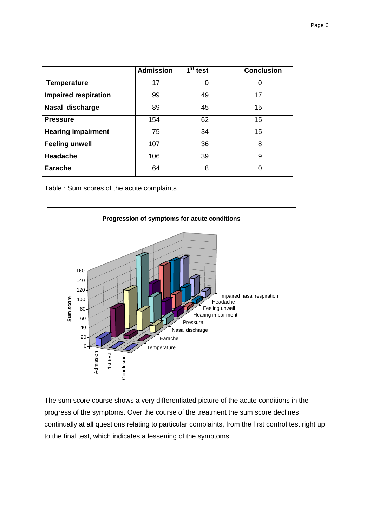|                             | <b>Admission</b> | $\overline{1}^{\rm st}$ test | <b>Conclusion</b> |
|-----------------------------|------------------|------------------------------|-------------------|
| <b>Temperature</b>          | 17               |                              |                   |
| <b>Impaired respiration</b> | 99               | 49                           | 17                |
| Nasal discharge             | 89               | 45                           | 15                |
| <b>Pressure</b>             | 154              | 62                           | 15                |
| <b>Hearing impairment</b>   | 75               | 34                           | 15                |
| <b>Feeling unwell</b>       | 107              | 36                           | 8                 |
| <b>Headache</b>             | 106              | 39                           | 9                 |
| <b>Earache</b>              | 64               | 8                            | O                 |

Table : Sum scores of the acute complaints



The sum score course shows a very differentiated picture of the acute conditions in the progress of the symptoms. Over the course of the treatment the sum score declines continually at all questions relating to particular complaints, from the first control test right up to the final test, which indicates a lessening of the symptoms.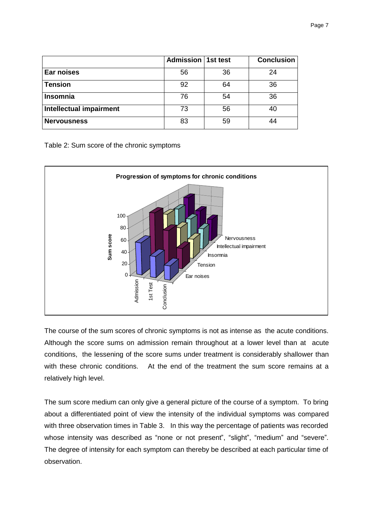|                         | Admission   1st test |    | <b>Conclusion</b> |
|-------------------------|----------------------|----|-------------------|
| Ear noises              | 56                   | 36 | 24                |
| <b>Tension</b>          | 92                   | 64 | 36                |
| Insomnia                | 76                   | 54 | 36                |
| Intellectual impairment | 73                   | 56 | 40                |
| <b>Nervousness</b>      | 83                   | 59 |                   |

Table 2: Sum score of the chronic symptoms



The course of the sum scores of chronic symptoms is not as intense as the acute conditions. Although the score sums on admission remain throughout at a lower level than at acute conditions, the lessening of the score sums under treatment is considerably shallower than with these chronic conditions. At the end of the treatment the sum score remains at a relatively high level.

The sum score medium can only give a general picture of the course of a symptom. To bring about a differentiated point of view the intensity of the individual symptoms was compared with three observation times in Table 3. In this way the percentage of patients was recorded whose intensity was described as "none or not present", "slight", "medium" and "severe". The degree of intensity for each symptom can thereby be described at each particular time of observation.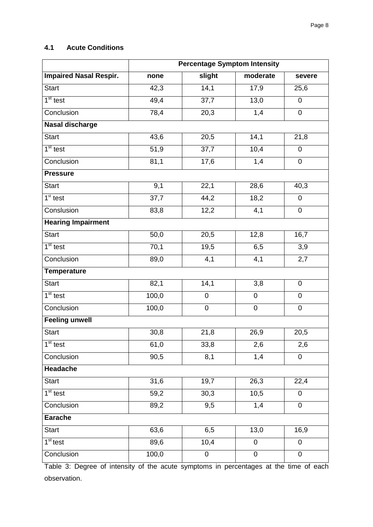# **4.1 Acute Conditions**

|                               | <b>Percentage Symptom Intensity</b> |           |             |                  |  |  |
|-------------------------------|-------------------------------------|-----------|-------------|------------------|--|--|
| <b>Impaired Nasal Respir.</b> | none                                | slight    | moderate    | severe           |  |  |
| <b>Start</b>                  | 42,3                                | 14,1      | 17,9        | 25,6             |  |  |
| $1st$ test                    | 49,4                                | 37,7      | 13,0        | 0                |  |  |
| Conclusion                    | 78,4                                | 20,3      | 1,4         | 0                |  |  |
| <b>Nasal discharge</b>        |                                     |           |             |                  |  |  |
| <b>Start</b>                  | 43,6                                | 20,5      | 14,1        | 21,8             |  |  |
| $1st$ test                    | 51,9                                | 37,7      | 10,4        | $\mathbf 0$      |  |  |
| Conclusion                    | 81,1                                | 17,6      | 1,4         | 0                |  |  |
| <b>Pressure</b>               |                                     |           |             |                  |  |  |
| <b>Start</b>                  | 9,1                                 | 22,1      | 28,6        | 40,3             |  |  |
| $1st$ test                    | 37,7                                | 44,2      | 18,2        | 0                |  |  |
| Conslusion                    | 83,8                                | 12,2      | 4,1         | 0                |  |  |
| <b>Hearing Impairment</b>     |                                     |           |             |                  |  |  |
| <b>Start</b>                  | 50,0                                | 20,5      | 12,8        | 16,7             |  |  |
| $1st$ test                    | 70,1                                | 19,5      | 6,5         | 3,9              |  |  |
| Conclusion                    | 89,0                                | 4,1       | 4,1         | 2,7              |  |  |
| <b>Temperature</b>            |                                     |           |             |                  |  |  |
| <b>Start</b>                  | 82,1                                | 14,1      | 3,8         | $\overline{0}$   |  |  |
| $1st$ test                    | 100,0                               | $\pmb{0}$ | $\mathbf 0$ | 0                |  |  |
| Conclusion                    | 100,0                               | $\pmb{0}$ | $\pmb{0}$   | 0                |  |  |
| <b>Feeling unwell</b>         |                                     |           |             |                  |  |  |
| <b>Start</b>                  | 30,8                                | 21,8      | 26,9        | 20,5             |  |  |
| $1st$ test                    | 61,0                                | 33,8      | 2,6         | 2,6              |  |  |
| Conclusion                    | 90,5                                | 8,1       | 1,4         | 0                |  |  |
| Headache                      |                                     |           |             |                  |  |  |
| <b>Start</b>                  | 31,6                                | 19,7      | 26,3        | 22,4             |  |  |
| $1st$ test                    | 59,2                                | 30,3      | 10,5        | $\boldsymbol{0}$ |  |  |
| Conclusion                    | 89,2                                | 9,5       | 1,4         | 0                |  |  |
| <b>Earache</b>                |                                     |           |             |                  |  |  |
| <b>Start</b>                  | 63,6                                | 6,5       | 13,0        | 16,9             |  |  |
| 1 <sup>st</sup> test          | 89,6                                | 10,4      | $\mathbf 0$ | 0                |  |  |
| Conclusion                    | 100,0                               | 0         | $\pmb{0}$   | 0                |  |  |

Table 3: Degree of intensity of the acute symptoms in percentages at the time of each observation.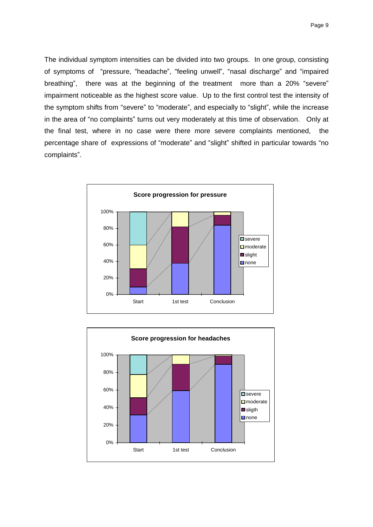Page 9

The individual symptom intensities can be divided into two groups. In one group, consisting of symptoms of "pressure, "headache", "feeling unwell", "nasal discharge" and "impaired breathing", there was at the beginning of the treatment more than a 20% "severe" impairment noticeable as the highest score value. Up to the first control test the intensity of the symptom shifts from "severe" to "moderate", and especially to "slight", while the increase in the area of "no complaints" turns out very moderately at this time of observation. Only at the final test, where in no case were there more severe complaints mentioned, the percentage share of expressions of "moderate" and "slight" shifted in particular towards "no complaints".



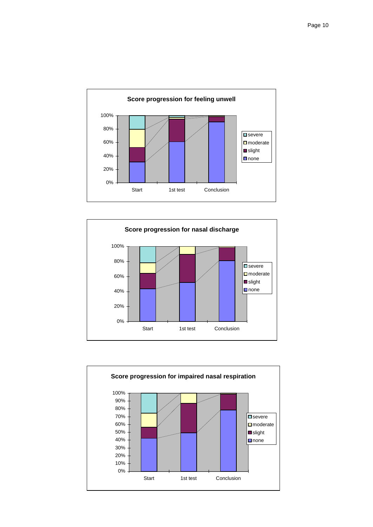



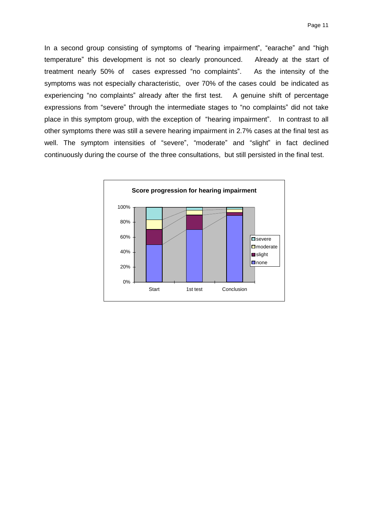In a second group consisting of symptoms of "hearing impairment", "earache" and "high temperature" this development is not so clearly pronounced. Already at the start of treatment nearly 50% of cases expressed "no complaints". As the intensity of the symptoms was not especially characteristic, over 70% of the cases could be indicated as experiencing "no complaints" already after the first test. A genuine shift of percentage expressions from "severe" through the intermediate stages to "no complaints" did not take place in this symptom group, with the exception of "hearing impairment". In contrast to all other symptoms there was still a severe hearing impairment in 2.7% cases at the final test as well. The symptom intensities of "severe", "moderate" and "slight" in fact declined continuously during the course of the three consultations, but still persisted in the final test.

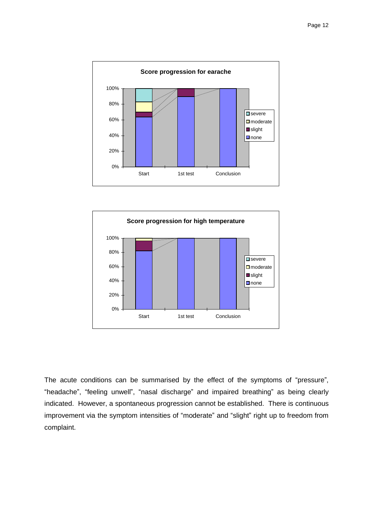



The acute conditions can be summarised by the effect of the symptoms of "pressure", "headache", "feeling unwell", "nasal discharge" and impaired breathing" as being clearly indicated. However, a spontaneous progression cannot be established. There is continuous improvement via the symptom intensities of "moderate" and "slight" right up to freedom from complaint.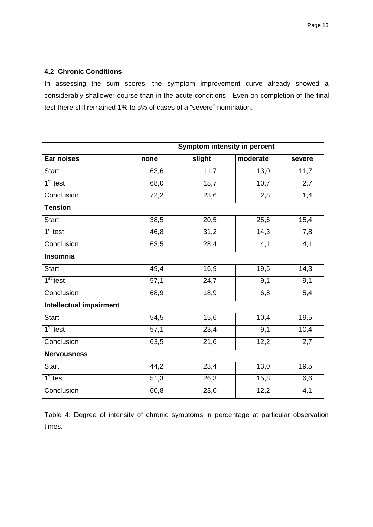## **4.2 Chronic Conditions**

In assessing the sum scores, the symptom improvement curve already showed a considerably shallower course than in the acute conditions. Even on completion of the final test there still remained 1% to 5% of cases of a "severe" nomination.

|                                | Symptom intensity in percent |        |          |        |  |  |
|--------------------------------|------------------------------|--------|----------|--------|--|--|
| Ear noises                     | none                         | slight | moderate | severe |  |  |
| <b>Start</b>                   | 63,6                         | 11,7   | 13,0     | 11,7   |  |  |
| 1 <sup>st</sup> test           | 68,0                         | 18,7   | 10,7     | 2,7    |  |  |
| Conclusion                     | 72,2                         | 23,6   | 2,8      | 1,4    |  |  |
| <b>Tension</b>                 |                              |        |          |        |  |  |
| <b>Start</b>                   | 38,5                         | 20,5   | 25,6     | 15,4   |  |  |
| $1st$ test                     | 46,8                         | 31,2   | 14,3     | 7,8    |  |  |
| Conclusion                     | 63,5                         | 28,4   | 4,1      | 4,1    |  |  |
| <b>Insomnia</b>                |                              |        |          |        |  |  |
| <b>Start</b>                   | 49,4                         | 16,9   | 19,5     | 14,3   |  |  |
| $1st$ test                     | 57,1                         | 24,7   | 9,1      | 9,1    |  |  |
| Conclusion                     | 68,9                         | 18,9   | 6,8      | 5,4    |  |  |
| <b>Intellectual impairment</b> |                              |        |          |        |  |  |
| <b>Start</b>                   | 54,5                         | 15,6   | 10,4     | 19,5   |  |  |
| $1st$ test                     | 57,1                         | 23,4   | 9,1      | 10,4   |  |  |
| Conclusion                     | 63,5                         | 21,6   | 12,2     | 2,7    |  |  |
| <b>Nervousness</b>             |                              |        |          |        |  |  |
| <b>Start</b>                   | 44,2                         | 23,4   | 13,0     | 19,5   |  |  |
| 1 <sup>st</sup> test           | 51,3                         | 26,3   | 15,8     | 6,6    |  |  |
| Conclusion                     | 60,8                         | 23,0   | 12,2     | 4,1    |  |  |

Table 4: Degree of intensity of chronic symptoms in percentage at particular observation times.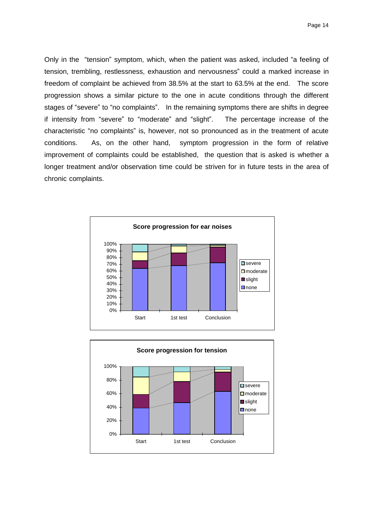Only in the "tension" symptom, which, when the patient was asked, included "a feeling of tension, trembling, restlessness, exhaustion and nervousness" could a marked increase in freedom of complaint be achieved from 38.5% at the start to 63.5% at the end. The score progression shows a similar picture to the one in acute conditions through the different stages of "severe" to "no complaints". In the remaining symptoms there are shifts in degree if intensity from "severe" to "moderate" and "slight". The percentage increase of the characteristic "no complaints" is, however, not so pronounced as in the treatment of acute conditions. As, on the other hand, symptom progression in the form of relative improvement of complaints could be established, the question that is asked is whether a longer treatment and/or observation time could be striven for in future tests in the area of chronic complaints.



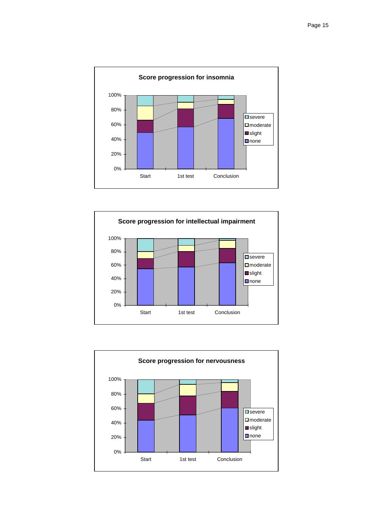



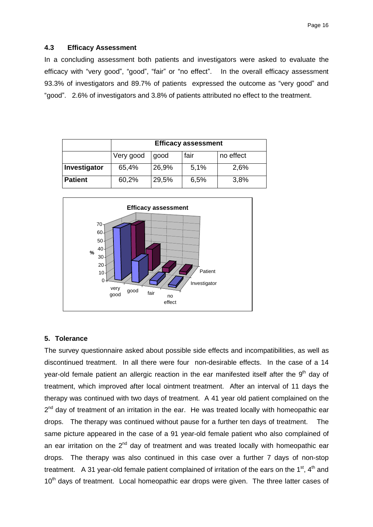#### **4.3 Efficacy Assessment**

In a concluding assessment both patients and investigators were asked to evaluate the efficacy with "very good", "good", "fair" or "no effect". In the overall efficacy assessment 93.3% of investigators and 89.7% of patients expressed the outcome as "very good" and "good". 2.6% of investigators and 3.8% of patients attributed no effect to the treatment.

|                | <b>Efficacy assessment</b>             |       |      |      |  |  |
|----------------|----------------------------------------|-------|------|------|--|--|
|                | fair<br>no effect<br>Very good<br>good |       |      |      |  |  |
| Investigator   | 65,4%                                  | 26,9% | 5,1% | 2,6% |  |  |
| <b>Patient</b> | 60,2%                                  | 29,5% | 6,5% | 3,8% |  |  |



#### **5. Tolerance**

The survey questionnaire asked about possible side effects and incompatibilities, as well as discontinued treatment. In all there were four non-desirable effects. In the case of a 14 year-old female patient an allergic reaction in the ear manifested itself after the  $9<sup>th</sup>$  dav of treatment, which improved after local ointment treatment. After an interval of 11 days the therapy was continued with two days of treatment. A 41 year old patient complained on the 2<sup>nd</sup> day of treatment of an irritation in the ear. He was treated locally with homeopathic ear drops. The therapy was continued without pause for a further ten days of treatment. The same picture appeared in the case of a 91 year-old female patient who also complained of an ear irritation on the  $2<sup>nd</sup>$  day of treatment and was treated locally with homeopathic ear drops. The therapy was also continued in this case over a further 7 days of non-stop treatment. A 31 year-old female patient complained of irritation of the ears on the  $1<sup>st</sup>$ ,  $4<sup>th</sup>$  and 10<sup>th</sup> davs of treatment. Local homeopathic ear drops were given. The three latter cases of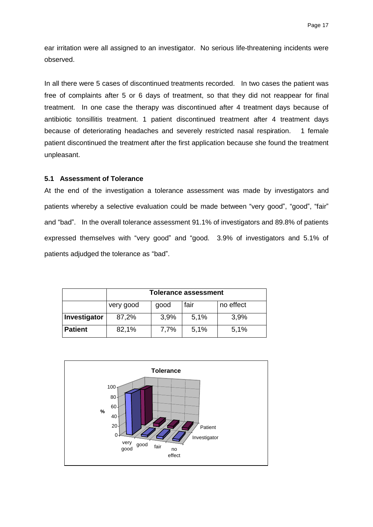ear irritation were all assigned to an investigator. No serious life-threatening incidents were observed.

In all there were 5 cases of discontinued treatments recorded. In two cases the patient was free of complaints after 5 or 6 days of treatment, so that they did not reappear for final treatment. In one case the therapy was discontinued after 4 treatment days because of antibiotic tonsillitis treatment. 1 patient discontinued treatment after 4 treatment days because of deteriorating headaches and severely restricted nasal respiration. 1 female patient discontinued the treatment after the first application because she found the treatment unpleasant.

#### **5.1 Assessment of Tolerance**

At the end of the investigation a tolerance assessment was made by investigators and patients whereby a selective evaluation could be made between "very good", "good", "fair" and "bad". In the overall tolerance assessment 91.1% of investigators and 89.8% of patients expressed themselves with "very good" and "good. 3.9% of investigators and 5.1% of patients adjudged the tolerance as "bad".

|                | <b>Tolerance assessment</b>            |      |      |      |  |  |
|----------------|----------------------------------------|------|------|------|--|--|
|                | fair<br>no effect<br>very good<br>good |      |      |      |  |  |
| Investigator   | 87,2%                                  | 3,9% | 5,1% | 3,9% |  |  |
| <b>Patient</b> | 82,1%                                  | 7.7% | 5,1% | 5,1% |  |  |

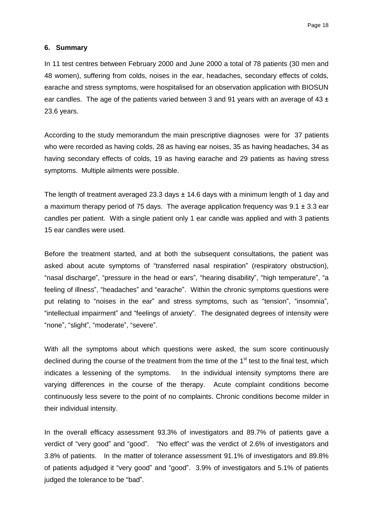#### **6. Summary**

In 11 test centres between February 2000 and June 2000 a total of 78 patients (30 men and 48 women), suffering from colds, noises in the ear, headaches, secondary effects of colds, earache and stress symptoms, were hospitalised for an observation application with BIOSUN ear candles. The age of the patients varied between 3 and 91 years with an average of 43  $\pm$ 23.6 years.

According to the study memorandum the main prescriptive diagnoses were for 37 patients who were recorded as having colds, 28 as having ear noises, 35 as having headaches, 34 as having secondary effects of colds, 19 as having earache and 29 patients as having stress symptoms. Multiple ailments were possible.

The length of treatment averaged 23.3 days  $\pm$  14.6 days with a minimum length of 1 day and a maximum therapy period of 75 days. The average application frequency was  $9.1 \pm 3.3$  ear candles per patient. With a single patient only 1 ear candle was applied and with 3 patients 15 ear candles were used.

Before the treatment started, and at both the subsequent consultations, the patient was asked about acute symptoms of "transferred nasal respiration" (respiratory obstruction), "nasal discharge", "pressure in the head or ears", "hearing disability", "high temperature", "a feeling of illness", "headaches"and "earache". Within the chronic symptoms questions were put relating to "noises in the ear" and stress symptoms, such as "tension", "insomnia", "intellectual impairment"and "feelings of anxiety". The designated degrees of intensity were "none", "slight", "moderate", "severe".

With all the symptoms about which questions were asked, the sum score continuously declined during the course of the treatment from the time of the  $1<sup>st</sup>$  test to the final test, which indicates a lessening of the symptoms. In the individual intensity symptoms there are varying differences in the course of the therapy. Acute complaint conditions become continuously less severe to the point of no complaints. Chronic conditions become milder in their individual intensity.

In the overall efficacy assessment 93.3% of investigators and 89.7% of patients gave a verdict of "very good" and "good". "No effect"was the verdict of 2.6% of investigators and 3.8% of patients. In the matter of tolerance assessment 91.1% of investigators and 89.8% of patients adjudged it "very good" and "good". 3.9% of investigators and 5.1% of patients judged the tolerance to be "bad".